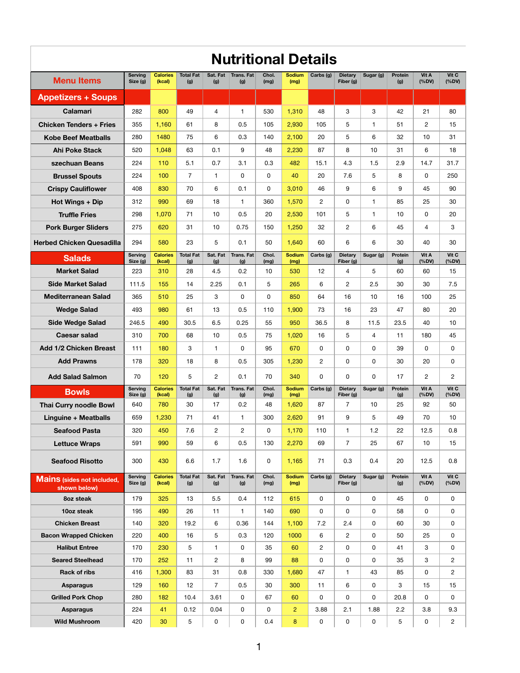|                                                   | <b>Nutritional Details</b> |                           |                         |                 |                          |               |                       |                |                             |                      |                |                     |                       |
|---------------------------------------------------|----------------------------|---------------------------|-------------------------|-----------------|--------------------------|---------------|-----------------------|----------------|-----------------------------|----------------------|----------------|---------------------|-----------------------|
| <b>Menu Items</b>                                 | <b>Serving</b><br>Size (g) | <b>Calories</b><br>(kcal) | <b>Total Fat</b><br>(g) | Sat. Fat<br>(g) | <b>Trans. Fat</b><br>(g) | Chol.<br>(mg) | <b>Sodium</b><br>(mg) | Carbs (g)      | <b>Dietary</b><br>Fiber (g) | Sugar (g)            | Protein<br>(g) | Vit A<br>(%DV)      | Vit C<br>(%DV)        |
| <b>Appetizers + Soups</b>                         |                            |                           |                         |                 |                          |               |                       |                |                             |                      |                |                     |                       |
| <b>Calamari</b>                                   | 282                        | 800                       | 49                      | 4               | 1.                       | 530           | 1,310                 | 48             | 3                           | 3                    | 42             | 21                  | 80                    |
| <b>Chicken Tenders + Fries</b>                    | 355                        | 1,160                     | 61                      | 8               | 0.5                      | 105           | 2,930                 | 105            | 5                           | 1.                   | 51             | $\mathbf{2}$        | 15                    |
| <b>Kobe Beef Meatballs</b>                        | 280                        | 1480                      | 75                      | 6               | 0.3                      | 140           | 2,100                 | 20             | 5                           | 6                    | 32             | 10                  | 31                    |
| <b>Ahi Poke Stack</b>                             | 520                        | 1,048                     | 63                      | 0.1             | 9                        | 48            | 2,230                 | 87             | 8                           | 10                   | 31             | 6                   | 18                    |
| szechuan Beans                                    | 224                        | 110                       | 5.1                     | 0.7             | 3.1                      | 0.3           | 482                   | 15.1           | 4.3                         | 1.5                  | 2.9            | 14.7                | 31.7                  |
| <b>Brussel Spouts</b>                             | 224                        | 100                       | $\overline{7}$          | 1.              | 0                        | 0             | 40                    | 20             | 7.6                         | 5                    | 8              | 0                   | 250                   |
| <b>Crispy Cauliflower</b>                         | 408                        | 830                       | 70                      | 6               | 0.1                      | 0             | 3,010                 | 46             | 9                           | 6                    | 9              | 45                  | 90                    |
| <b>Hot Wings + Dip</b>                            | 312                        | 990                       | 69                      | 18              | $\mathbf{1}$             | 360           | 1,570                 | $\overline{c}$ | 0                           | 1.                   | 85             | 25                  | 30                    |
| <b>Truffle Fries</b>                              | 298                        | 1,070                     | 71                      | 10              | 0.5                      | 20            | 2,530                 | 101            | 5                           | 1.                   | 10             | 0                   | 20                    |
| <b>Pork Burger Sliders</b>                        | 275                        | 620                       | 31                      | 10              | 0.75                     | 150           | 1,250                 | 32             | $\mathbf{2}$                | 6                    | 45             | 4                   | 3                     |
| <b>Herbed Chicken Quesadilla</b>                  | 294                        | 580                       | 23                      | 5               | 0.1                      | 50            | 1,640                 | 60             | 6                           | 6                    | 30             | 40                  | 30                    |
| <b>Salads</b>                                     | Serving<br>Size (g)        | <b>Calories</b><br>(kcal) | <b>Total Fat</b><br>(g) | Sat. Fat<br>(g) | <b>Trans. Fat</b><br>(g) | Chol.<br>(mg) | <b>Sodium</b><br>(mg) | Carbs (g)      | <b>Dietary</b><br>Fiber (g) | Sugar (g)            | Protein<br>(g) | Vit A<br>(%DV)      | Vit C<br>(%DV)        |
| <b>Market Salad</b>                               | 223                        | 310                       | 28                      | 4.5             | 0.2                      | 10            | 530                   | 12             | 4                           | 5                    | 60             | 60                  | 15                    |
| <b>Side Market Salad</b>                          | 111.5                      | 155                       | 14                      | 2.25            | 0.1                      | 5             | 265                   | 6              | $\overline{c}$              | 2.5                  | 30             | 30                  | 7.5                   |
| <b>Mediterranean Salad</b>                        | 365                        | 510                       | 25                      | 3               | 0                        | 0             | 850                   | 64             | 16                          | 10                   | 16             | 100                 | 25                    |
| <b>Wedge Salad</b>                                | 493                        | 980                       | 61                      | 13              | 0.5                      | 110           | 1,900                 | 73             | 16                          | 23                   | 47             | 80                  | 20                    |
| <b>Side Wedge Salad</b>                           | 246.5                      | 490                       | 30.5                    | 6.5             | 0.25                     | 55            | 950                   | 36.5           | 8                           | 11.5                 | 23.5           | 40                  | 10                    |
| <b>Caesar salad</b>                               | 310                        | 700                       | 68                      | 10              | 0.5                      | 75            | 1,020                 | 16             | 5                           | $\overline{4}$       | 11             | 180                 | 45                    |
| <b>Add 1/2 Chicken Breast</b>                     | 111                        | 180                       | 3                       | $\mathbf{1}$    | 0                        | 95            | 670                   | 0              | 0                           | 0                    | 39             | 0                   | 0                     |
| <b>Add Prawns</b>                                 | 178                        | 320                       | 18                      | 8               | 0.5                      | 305           | 1,230                 | $\overline{2}$ | 0                           | 0                    | 30             | 20                  | 0                     |
| <b>Add Salad Salmon</b>                           | 70                         | 120                       | 5                       | $\overline{2}$  | 0.1                      | 70            | 340                   | 0              | 0                           | 0                    | 17             | $\overline{2}$      | $\overline{c}$        |
| <b>Bowls</b>                                      | <b>Serving</b><br>Size(g)  | <b>Calories</b><br>(kcal) | <b>Total Fat</b><br>(g) | Sat. Fat<br>(g) | Trans. Fat<br>(g)        | Chol.<br>(mg) | <b>Sodium</b><br>(mg) | Carbs (g)      | <b>Dietary</b><br>Fiber (g) | Sugar (g)            | Protein<br>(g) | Vit A<br>(%DV)      | Vit C<br>(%DV)        |
| <b>Thai Curry noodle Bowl</b>                     | 640                        | 780                       | 30                      | 17              | 0.2                      | 48            | 1,620                 | 87             | $\overline{7}$              | 10                   | 25             | 92                  | 50                    |
| <b>Linguine + Meatballs</b>                       | 659                        | 1,230                     | 71                      | 41              | $\mathbf{1}$             | 300           | 2,620                 | 91             | 9                           | 5                    | 49             | 70                  | 10                    |
| <b>Seafood Pasta</b>                              | 320                        | 450                       | 7.6                     | $\mathbf{2}$    | $\overline{c}$           | 0             | 1,170                 | 110            | $\mathbf{1}$                | 1.2                  | 22             | 12.5                | 0.8                   |
| <b>Lettuce Wraps</b>                              | 591                        | 990                       | 59                      | 6               | 0.5                      | 130           | 2,270                 | 69             | $\overline{7}$              | 25                   | 67             | 10                  | 15                    |
| <b>Seafood Risotto</b>                            | 300                        | 430                       | 6.6                     | 1.7             | 1.6                      | 0             | 1,165                 | 71             | 0.3                         | 0.4                  | 20             | 12.5                | 0.8                   |
| <b>Mains</b> (sides not included,<br>shown below) | <b>Serving</b><br>Size (g) | <b>Calories</b><br>(kcal) | <b>Total Fat</b><br>(g) | Sat. Fat<br>(g) | <b>Trans. Fat</b><br>(g) | Chol.<br>(mg) | <b>Sodium</b><br>(mg) | Carbs (g)      | <b>Dietary</b><br>Fiber (g) | Sugar (g)            | Protein<br>(g) | Vit A<br>(%DV)      | Vit C<br>(%DV)        |
| 8oz steak                                         | 179                        | 325                       | 13                      | 5.5             | 0.4                      | 112           | 615                   | 0              | 0                           | 0                    | 45             | 0                   | 0                     |
| 10oz steak                                        | 195                        | 490                       | 26                      | 11              | $\mathbf{1}$             | 140           | 690                   | 0              | 0                           | 0                    | 58             | 0                   | 0                     |
| <b>Chicken Breast</b>                             | 140                        | 320                       | 19.2                    | 6               | 0.36                     | 144           | 1,100                 | 7.2            | 2.4                         | 0                    | 60             | 30                  | 0                     |
| <b>Bacon Wrapped Chicken</b>                      | 220                        | 400                       | 16                      | 5               | 0.3                      | 120           | 1000                  | 6              | $\overline{c}$              | 0                    | 50             | 25                  | 0                     |
| <b>Halibut Entree</b>                             | 170                        | 230                       | 5                       | 1.              | 0                        | 35            | 60                    | $\overline{c}$ | 0                           | 0                    | 41             | 3                   | 0                     |
| <b>Seared Steelhead</b>                           | 170                        | 252                       | 11                      | $\overline{c}$  | 8                        | 99            | 88                    | 0              | 0                           | 0                    | 35             | 3                   | $\overline{c}$        |
| <b>Rack of ribs</b>                               | 416                        | 1,300                     | 83                      | 31              | 0.8                      | 330           | 1,680                 | 47             | $\mathbf{1}$                | 43                   | 85             | 0                   | $\overline{c}$        |
| <b>Asparagus</b>                                  | 129                        | 160                       | 12                      | $\overline{7}$  | 0.5                      | 30            | 300                   | 11             | 6                           | 0                    | 3              | 15                  | 15                    |
| <b>Grilled Pork Chop</b>                          | 280                        | 182                       | 10.4                    | 3.61            | 0                        | 67            | 60                    | 0              | 0                           | 0                    | 20.8           | 0                   | 0                     |
| <b>Asparagus</b><br><b>Wild Mushroom</b>          | 224<br>420                 | 41<br>30                  | 0.12<br>$\sqrt{5}$      | 0.04<br>0       | 0<br>0                   | 0<br>0.4      | $\overline{2}$<br>8   | 3.88<br>0      | 2.1<br>0                    | 1.88<br>$\mathsf{O}$ | 2.2<br>5       | 3.8<br>$\mathsf{O}$ | 9.3<br>$\overline{2}$ |
|                                                   |                            |                           |                         |                 |                          |               |                       |                |                             |                      |                |                     |                       |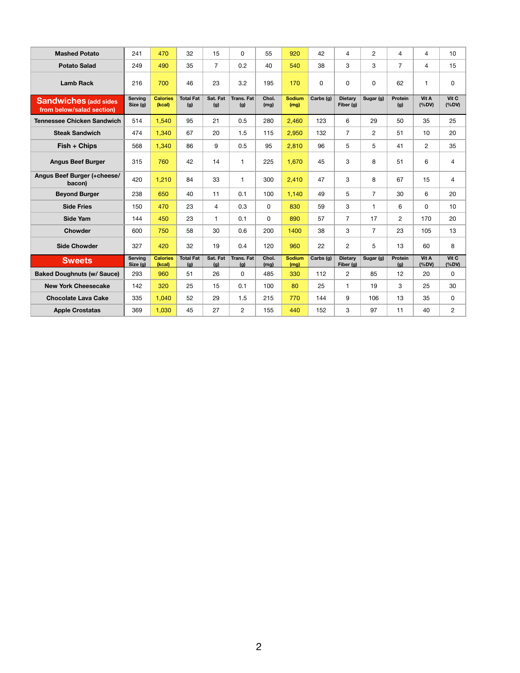| <b>Mashed Potato</b>                                      | 241                       | 470                       | 32                      | 15              | 0                        | 55            | 920                   | 42        | $\overline{4}$              | $\overline{2}$ | $\overline{4}$        | $\overline{4}$ | 10             |
|-----------------------------------------------------------|---------------------------|---------------------------|-------------------------|-----------------|--------------------------|---------------|-----------------------|-----------|-----------------------------|----------------|-----------------------|----------------|----------------|
| <b>Potato Salad</b>                                       | 249                       | 490                       | 35                      | $\overline{7}$  | 0.2                      | 40            | 540                   | 38        | 3                           | 3              | $\overline{7}$        | 4              | 15             |
| <b>Lamb Rack</b>                                          | 216                       | 700                       | 46                      | 23              | 3.2                      | 195           | 170                   | 0         | 0                           | 0              | 62                    | 1              | $\pmb{0}$      |
| <b>Sandwiches (add sides</b><br>from below/salad section) | Serving<br>Size (g)       | <b>Calories</b><br>(kcal) | <b>Total Fat</b><br>(g) | Sat. Fat<br>(g) | Trans, Fat<br>(g)        | Chol.<br>(mg) | <b>Sodium</b><br>(mg) | Carbs (g) | <b>Dietary</b><br>Fiber (g) | Sugar (g)      | <b>Protein</b><br>(g) | Vit A<br>(%DV) | Vit C<br>(%DV) |
| <b>Tennessee Chicken Sandwich</b>                         | 514                       | 1,540                     | 95                      | 21              | 0.5                      | 280           | 2,460                 | 123       | 6                           | 29             | 50                    | 35             | 25             |
| <b>Steak Sandwich</b>                                     | 474                       | 1,340                     | 67                      | 20              | 1.5                      | 115           | 2,950                 | 132       | $\overline{7}$              | $\overline{2}$ | 51                    | 10             | 20             |
| Fish + Chips                                              | 568                       | 1,340                     | 86                      | 9               | 0.5                      | 95            | 2,810                 | 96        | 5                           | 5              | 41                    | $\overline{2}$ | 35             |
| <b>Angus Beef Burger</b>                                  | 315                       | 760                       | 42                      | 14              | $\mathbf{1}$             | 225           | 1,670                 | 45        | 3                           | 8              | 51                    | 6              | 4              |
| <b>Angus Beef Burger (+cheese/</b><br>bacon)              | 420                       | 1,210                     | 84                      | 33              | $\mathbf{1}$             | 300           | 2,410                 | 47        | 3                           | 8              | 67                    | 15             | 4              |
| <b>Beyond Burger</b>                                      | 238                       | 650                       | 40                      | 11              | 0.1                      | 100           | 1,140                 | 49        | 5                           | $\overline{7}$ | 30                    | 6              | 20             |
| <b>Side Fries</b>                                         | 150                       | 470                       | 23                      | $\overline{4}$  | 0.3                      | 0             | 830                   | 59        | 3                           | 1.             | 6                     | 0              | 10             |
| <b>Side Yam</b>                                           | 144                       | 450                       | 23                      | $\mathbf{1}$    | 0.1                      | 0             | 890                   | 57        | $\overline{7}$              | 17             | $\overline{2}$        | 170            | 20             |
| <b>Chowder</b>                                            | 600                       | 750                       | 58                      | 30              | 0.6                      | 200           | 1400                  | 38        | 3                           | $\overline{7}$ | 23                    | 105            | 13             |
| <b>Side Chowder</b>                                       | 327                       | 420                       | 32                      | 19              | 0.4                      | 120           | 960                   | 22        | $\mathbf{2}$                | 5              | 13                    | 60             | 8              |
| <b>Sweets</b>                                             | <b>Serving</b><br>Size(g) | <b>Calories</b><br>(kcal) | <b>Total Fat</b><br>(g) | Sat. Fat<br>(g) | <b>Trans, Fat</b><br>(g) | Chol.<br>(mg) | <b>Sodium</b><br>(mg) | Carbs (g) | <b>Dietary</b><br>Fiber (g) | Sugar (g)      | <b>Protein</b><br>(g) | Vit A<br>(%DV) | Vit C<br>(%DV) |
| <b>Baked Doughnuts (w/ Sauce)</b>                         | 293                       | 960                       | 51                      | 26              | 0                        | 485           | 330                   | 112       | $\overline{c}$              | 85             | 12                    | 20             | $\mathbf 0$    |
| <b>New York Cheesecake</b>                                | 142                       | 320                       | 25                      | 15              | 0.1                      | 100           | 80                    | 25        | $\mathbf{1}$                | 19             | 3                     | 25             | 30             |
| <b>Chocolate Lava Cake</b>                                | 335                       | 1,040                     | 52                      | 29              | 1.5                      | 215           | 770                   | 144       | 9                           | 106            | 13                    | 35             | $\pmb{0}$      |
| <b>Apple Crostatas</b>                                    | 369                       | 1,030                     | 45                      | 27              | $\overline{c}$           | 155           | 440                   | 152       | 3                           | 97             | 11                    | 40             | $\overline{c}$ |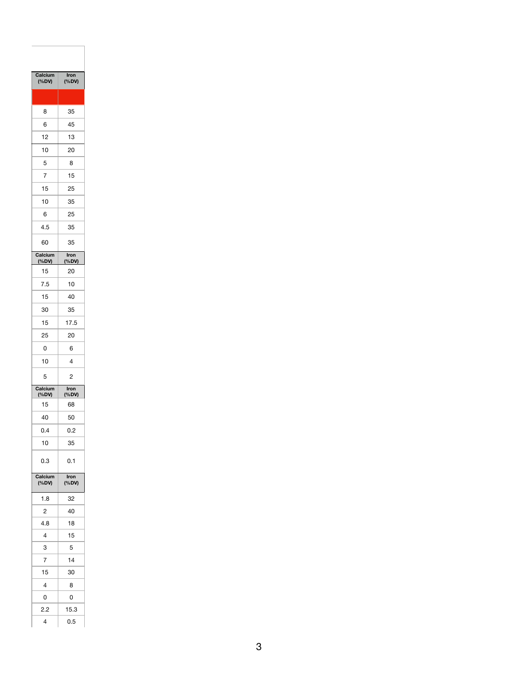| Calcium<br>(%DV) | Iron<br>(%DV)  |  |  |  |  |  |
|------------------|----------------|--|--|--|--|--|
|                  |                |  |  |  |  |  |
| 8                | 35             |  |  |  |  |  |
| 6                | 45             |  |  |  |  |  |
| 12               | 13             |  |  |  |  |  |
| 10               | 20             |  |  |  |  |  |
| 5                | 8              |  |  |  |  |  |
| $\overline{7}$   | 15             |  |  |  |  |  |
| 15               | 25             |  |  |  |  |  |
| 10               | 35             |  |  |  |  |  |
| 6                | 25             |  |  |  |  |  |
| 4.5              | 35             |  |  |  |  |  |
| 60               | 35             |  |  |  |  |  |
| Calcium          | <b>Iron</b>    |  |  |  |  |  |
| (%DV)<br>15      | (%DV)<br>20    |  |  |  |  |  |
| 7.5              | 10             |  |  |  |  |  |
| 15               | 40             |  |  |  |  |  |
| 30               | 35             |  |  |  |  |  |
| 15               | 17.5           |  |  |  |  |  |
| 25               | 20             |  |  |  |  |  |
| 0                | 6              |  |  |  |  |  |
| 10               | 4              |  |  |  |  |  |
| 5                | $\overline{c}$ |  |  |  |  |  |
| Calcium          | Iron           |  |  |  |  |  |
| (%DV)<br>15      | (%DV)<br>68    |  |  |  |  |  |
| 40               | 50             |  |  |  |  |  |
|                  |                |  |  |  |  |  |
|                  |                |  |  |  |  |  |
| 0.4              | 0.2<br>35      |  |  |  |  |  |
| 10<br>0.3        | 0.1            |  |  |  |  |  |
| Calcium<br>(%DV) | Iron<br>(%DV)  |  |  |  |  |  |
| 1.8              | 32             |  |  |  |  |  |
| $\overline{c}$   | 40             |  |  |  |  |  |
| 4.8              | 18             |  |  |  |  |  |
| 4                | 15             |  |  |  |  |  |
| 3                | 5              |  |  |  |  |  |
| $\overline{7}$   | 14             |  |  |  |  |  |
| 15               | 30             |  |  |  |  |  |
| 4                | 8              |  |  |  |  |  |
| 0                | 0              |  |  |  |  |  |
| 2.2              | 15.3           |  |  |  |  |  |